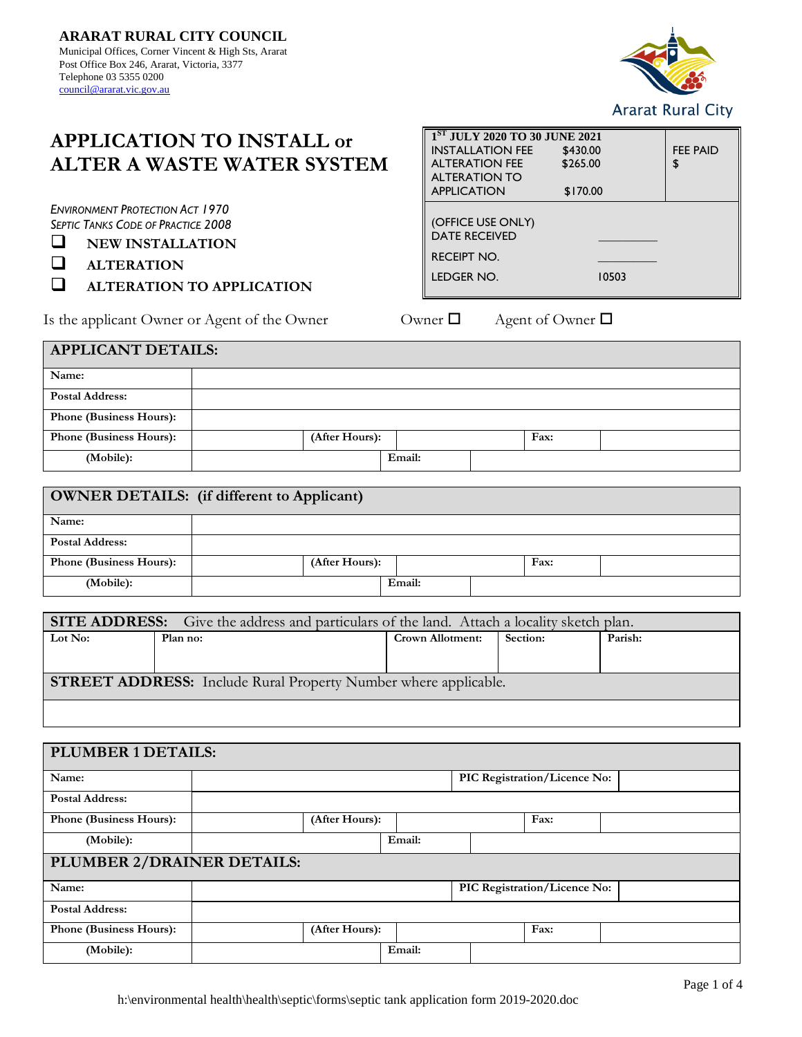

# **APPLICATION TO INSTALL or ALTER A WASTE WATER SYSTEM**

*ENVIRONMENT PROTECTION ACT 1970 SEPTIC TANKS CODE OF PRACTICE 2008*

❑ **NEW INSTALLATION**

❑ **ALTERATION**

❑ **ALTERATION TO APPLICATION**

Is the applicant Owner or Agent of the Owner  $\Box$  Agent of Owner  $\Box$ 

| 1ST JULY 2020 TO 30 JUNE 2021 |          |                 |  |  |  |  |
|-------------------------------|----------|-----------------|--|--|--|--|
| <b>INSTALLATION FEE</b>       | \$430.00 | <b>FEE PAID</b> |  |  |  |  |
| <b>ALTERATION FEE</b>         | \$265.00 | \$              |  |  |  |  |
| <b>ALTERATION TO</b>          |          |                 |  |  |  |  |
| <b>APPLICATION</b>            | \$170.00 |                 |  |  |  |  |
|                               |          |                 |  |  |  |  |
| (OFFICE USE ONLY)             |          |                 |  |  |  |  |
| <b>DATE RECEIVED</b>          |          |                 |  |  |  |  |
| <b>RECEIPT NO.</b>            |          |                 |  |  |  |  |
|                               |          |                 |  |  |  |  |
| LEDGER NO.                    | 10503    |                 |  |  |  |  |
|                               |          |                 |  |  |  |  |

| <b>APPLICANT DETAILS:</b>      |  |                |        |  |      |  |
|--------------------------------|--|----------------|--------|--|------|--|
| Name:                          |  |                |        |  |      |  |
| <b>Postal Address:</b>         |  |                |        |  |      |  |
| <b>Phone (Business Hours):</b> |  |                |        |  |      |  |
| <b>Phone (Business Hours):</b> |  | (After Hours): |        |  | Fax: |  |
| (Mobile):                      |  |                | Email: |  |      |  |

| <b>OWNER DETAILS:</b> (if different to Applicant) |  |                |  |        |  |      |  |
|---------------------------------------------------|--|----------------|--|--------|--|------|--|
| Name:                                             |  |                |  |        |  |      |  |
| <b>Postal Address:</b>                            |  |                |  |        |  |      |  |
| <b>Phone (Business Hours):</b>                    |  | (After Hours): |  |        |  | Fax: |  |
| (Mobile):                                         |  |                |  | Email: |  |      |  |

| <b>SITE ADDRESS:</b> Give the address and particulars of the land. Attach a locality sketch plan. |          |                         |                 |         |  |  |
|---------------------------------------------------------------------------------------------------|----------|-------------------------|-----------------|---------|--|--|
| Lot No:                                                                                           | Plan no: | <b>Crown Allotment:</b> | <b>Section:</b> | Parish: |  |  |
|                                                                                                   |          |                         |                 |         |  |  |
|                                                                                                   |          |                         |                 |         |  |  |
| <b>STREET ADDRESS:</b> Include Rural Property Number where applicable.                            |          |                         |                 |         |  |  |
|                                                                                                   |          |                         |                 |         |  |  |
|                                                                                                   |          |                         |                 |         |  |  |

| PLUMBER 1 DETAILS:         |  |                |        |  |                              |                              |  |
|----------------------------|--|----------------|--------|--|------------------------------|------------------------------|--|
| Name:                      |  |                |        |  | PIC Registration/Licence No: |                              |  |
| <b>Postal Address:</b>     |  |                |        |  |                              |                              |  |
| Phone (Business Hours):    |  | (After Hours): |        |  |                              | Fax:                         |  |
| (Mobile):                  |  |                | Email: |  |                              |                              |  |
| PLUMBER 2/DRAINER DETAILS: |  |                |        |  |                              |                              |  |
| Name:                      |  |                |        |  |                              | PIC Registration/Licence No: |  |
| <b>Postal Address:</b>     |  |                |        |  |                              |                              |  |
| Phone (Business Hours):    |  | (After Hours): |        |  |                              | Fax:                         |  |
| (Mobile):                  |  |                | Email: |  |                              |                              |  |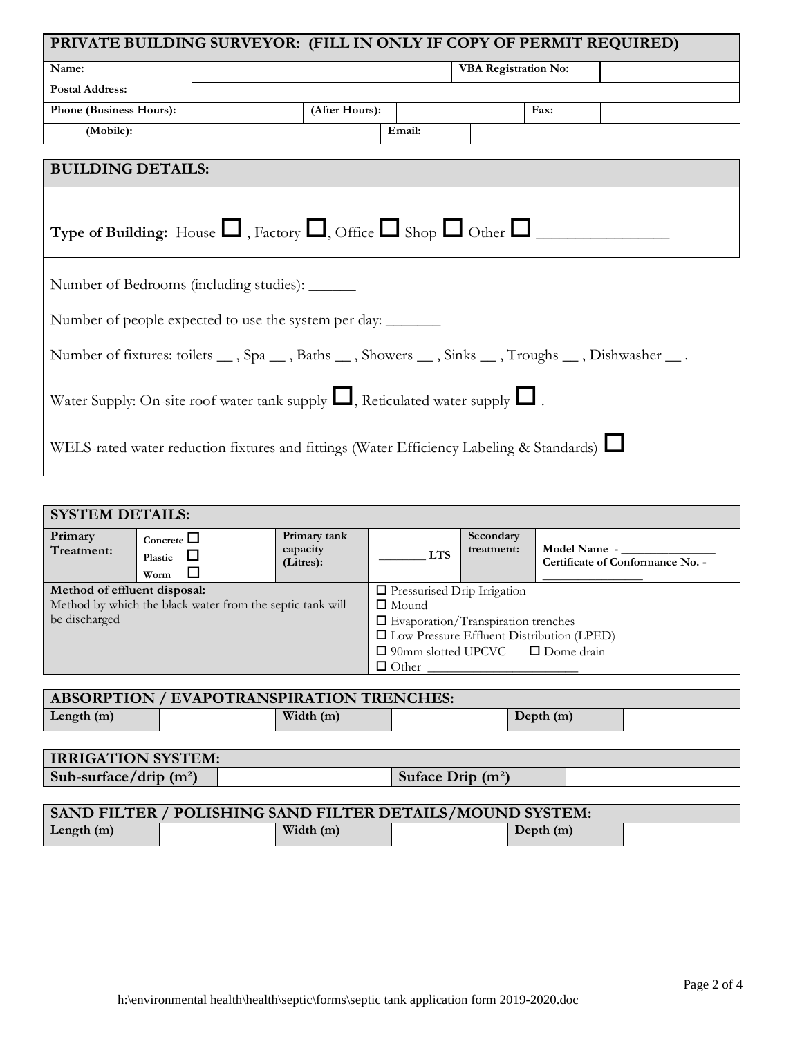| PRIVATE BUILDING SURVEYOR: (FILL IN ONLY IF COPY OF PERMIT REQUIRED)                               |  |                |        |                             |      |  |
|----------------------------------------------------------------------------------------------------|--|----------------|--------|-----------------------------|------|--|
| Name:                                                                                              |  |                |        | <b>VBA Registration No:</b> |      |  |
| <b>Postal Address:</b>                                                                             |  |                |        |                             |      |  |
| Phone (Business Hours):                                                                            |  | (After Hours): |        |                             | Fax: |  |
| (Mobile):                                                                                          |  |                | Email: |                             |      |  |
| <b>BUILDING DETAILS:</b>                                                                           |  |                |        |                             |      |  |
| Type of Building: House $\Box$ , Factory $\Box$ , Office $\Box$ Shop $\Box$ Other $\Box$           |  |                |        |                             |      |  |
| Number of Bedrooms (including studies): _______                                                    |  |                |        |                             |      |  |
| Number of people expected to use the system per day:                                               |  |                |        |                             |      |  |
| Number of fixtures: toilets __, Spa __, Baths __, Showers __, Sinks __, Troughs __, Dishwasher __. |  |                |        |                             |      |  |
| Water Supply: On-site roof water tank supply $\Box$ , Reticulated water supply $\Box$ .            |  |                |        |                             |      |  |
| WELS-rated water reduction fixtures and fittings (Water Efficiency Labeling & Standards)           |  |                |        |                             |      |  |

| <b>SYSTEM DETAILS:</b>       |                                                           |                                       |                                                  |                         |                                                  |  |  |
|------------------------------|-----------------------------------------------------------|---------------------------------------|--------------------------------------------------|-------------------------|--------------------------------------------------|--|--|
| Primary<br>Treatment:        | Concrete $\Box$<br>$\sqcup$<br>Plastic<br>ப<br>Worm       | Primary tank<br>capacity<br>(Litres): | <b>LTS</b>                                       | Secondary<br>treatment: | Model Name -<br>Certificate of Conformance No. - |  |  |
| Method of effluent disposal: |                                                           |                                       | $\Box$ Pressurised Drip Irrigation               |                         |                                                  |  |  |
|                              | Method by which the black water from the septic tank will |                                       | $\Box$ Mound                                     |                         |                                                  |  |  |
| be discharged                |                                                           |                                       | $\Box$ Evaporation/Transpiration trenches        |                         |                                                  |  |  |
|                              |                                                           |                                       | $\Box$ Low Pressure Effluent Distribution (LPED) |                         |                                                  |  |  |
|                              |                                                           |                                       | $\Box$ 90mm slotted UPCVC $\Box$ Dome drain      |                         |                                                  |  |  |
|                              |                                                           |                                       | $\Box$ Other                                     |                         |                                                  |  |  |

| <b>ABSORPTION / EVAPOTRANSPIRATION TRENCHES:</b> |  |             |  |             |  |
|--------------------------------------------------|--|-------------|--|-------------|--|
| Length $(m)$                                     |  | Width $(m)$ |  | Depth $(m)$ |  |

| <b>IRRIGATION SYSTEM:</b> |                     |  |
|---------------------------|---------------------|--|
| Sub-surface/drip $(m^2)$  | Suface Drip $(m^2)$ |  |

| <b>SAND FILTER / POLISHING SAND FILTER DETAILS/MOUND SYSTEM:</b> |  |             |  |             |  |
|------------------------------------------------------------------|--|-------------|--|-------------|--|
| Length $(m)$                                                     |  | Width $(m)$ |  | Depth $(m)$ |  |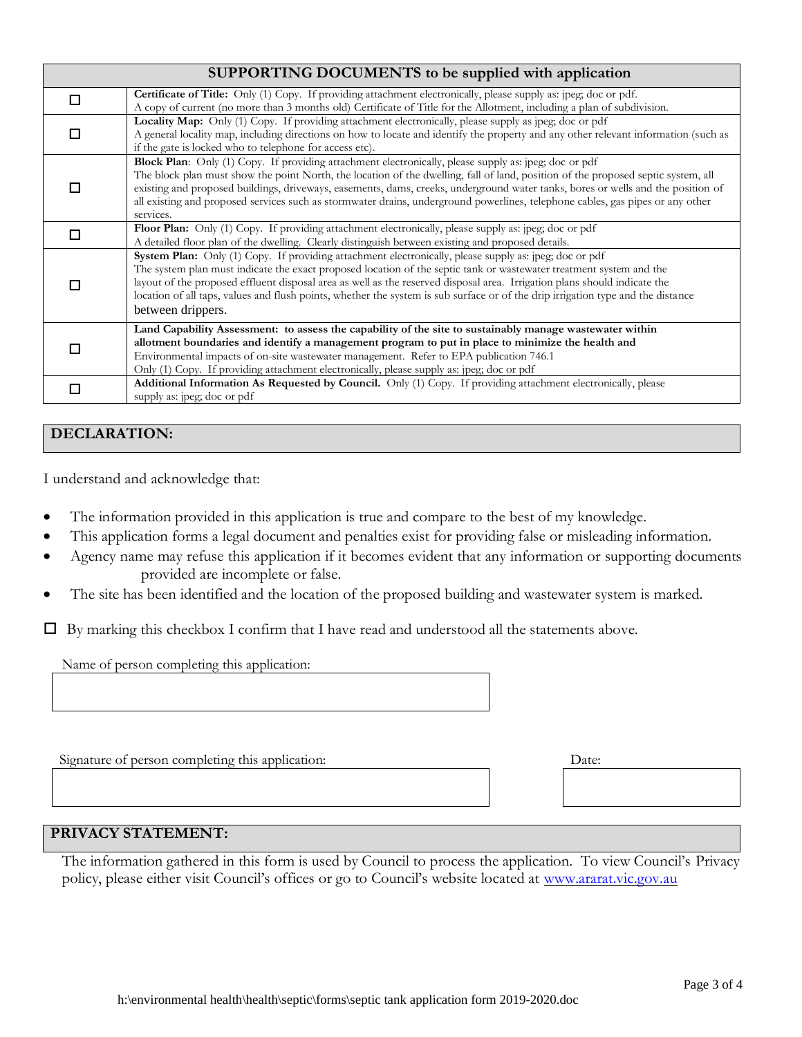## **SUPPORTING DOCUMENTS to be supplied with application**

|                                                         | <b>Certificate of Title:</b> Only (1) Copy. If providing attachment electronically, please supply as: jpeg; doc or pdf.<br>A copy of current (no more than 3 months old) Certificate of Title for the Allotment, including a plan of subdivision.                                                                                                                                                                                                                                                                |
|---------------------------------------------------------|------------------------------------------------------------------------------------------------------------------------------------------------------------------------------------------------------------------------------------------------------------------------------------------------------------------------------------------------------------------------------------------------------------------------------------------------------------------------------------------------------------------|
| if the gate is locked who to telephone for access etc). | Locality Map: Only (1) Copy. If providing attachment electronically, please supply as jpeg; doc or pdf<br>A general locality map, including directions on how to locate and identify the property and any other relevant information (such as                                                                                                                                                                                                                                                                    |
| services.                                               | Block Plan: Only (1) Copy. If providing attachment electronically, please supply as: jpeg; doc or pdf<br>The block plan must show the point North, the location of the dwelling, fall of land, position of the proposed septic system, all<br>existing and proposed buildings, driveways, easements, dams, creeks, underground water tanks, bores or wells and the position of<br>all existing and proposed services such as stormwater drains, underground powerlines, telephone cables, gas pipes or any other |
|                                                         | Floor Plan: Only (1) Copy. If providing attachment electronically, please supply as: jpeg; doc or pdf<br>A detailed floor plan of the dwelling. Clearly distinguish between existing and proposed details.                                                                                                                                                                                                                                                                                                       |
| between drippers.                                       | System Plan: Only (1) Copy. If providing attachment electronically, please supply as: jpeg; doc or pdf<br>The system plan must indicate the exact proposed location of the septic tank or wastewater treatment system and the<br>layout of the proposed effluent disposal area as well as the reserved disposal area. Irrigation plans should indicate the<br>location of all taps, values and flush points, whether the system is sub surface or of the drip irrigation type and the distance                   |
|                                                         | Land Capability Assessment: to assess the capability of the site to sustainably manage wastewater within<br>allotment boundaries and identify a management program to put in place to minimize the health and<br>Environmental impacts of on-site wastewater management. Refer to EPA publication 746.1<br>Only (1) Copy. If providing attachment electronically, please supply as: jpeg; doc or pdf                                                                                                             |
| supply as: jpeg; doc or pdf                             | <b>Additional Information As Requested by Council.</b> Only (1) Copy. If providing attachment electronically, please                                                                                                                                                                                                                                                                                                                                                                                             |

# **DECLARATION:**

I understand and acknowledge that:

- The information provided in this application is true and compare to the best of my knowledge.
- This application forms a legal document and penalties exist for providing false or misleading information.
- Agency name may refuse this application if it becomes evident that any information or supporting documents provided are incomplete or false.
- The site has been identified and the location of the proposed building and wastewater system is marked.

 $\Box$  By marking this checkbox I confirm that I have read and understood all the statements above.

Name of person completing this application:

Signature of person completing this application:

### **PRIVACY STATEMENT:**

The information gathered in this form is used by Council to process the application. To view Council's Privacy policy, please either visit Council's offices or go to Council's website located at [www.ararat.vic.gov.au](http://www.ararat.vic.gov.au/)

Date: